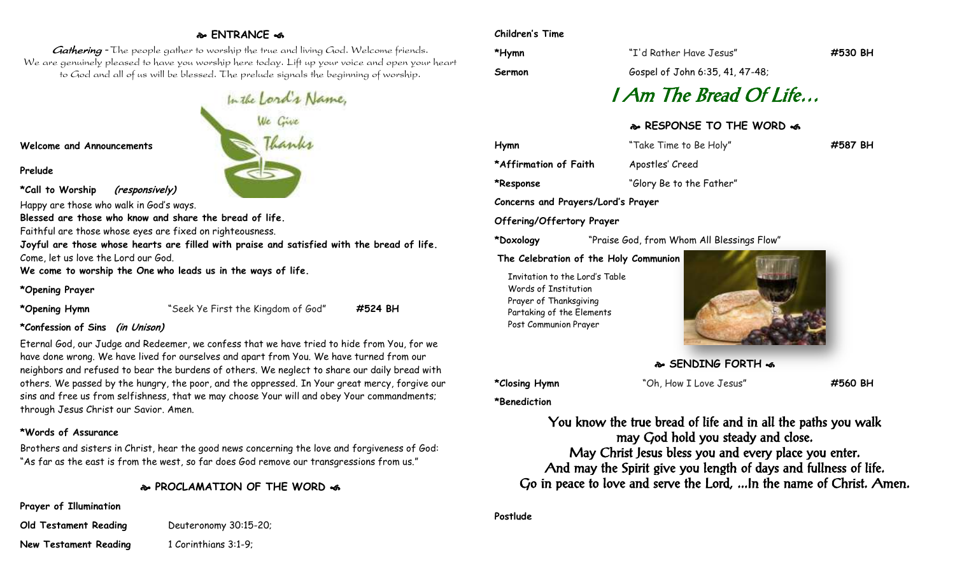# **ENTRANCE**

Gathering - The people gather to worship the true and living God. Welcome friends. We are genuinely pleased to have you worship here today. Lift up your voice and open your heart to God and all of us will be blessed. The prelude signals the beginning of worship.

**Welcome and Announcements**

**Prelude**

**\*Call to Worship (responsively)**

Happy are those who walk in God's ways.

**Blessed are those who know and share the bread of life.**

Faithful are those whose eyes are fixed on righteousness.

**Joyful are those whose hearts are filled with praise and satisfied with the bread of life.** Come, let us love the Lord our God.

**We come to worship the One who leads us in the ways of life.**

**\*Opening Prayer**

**\*Opening Hymn** "Seek Ye First the Kingdom of God" **#524 BH**

#### **\*Confession of Sins (in Unison)**

Eternal God, our Judge and Redeemer, we confess that we have tried to hide from You, for we have done wrong. We have lived for ourselves and apart from You. We have turned from our neighbors and refused to bear the burdens of others. We neglect to share our daily bread with others. We passed by the hungry, the poor, and the oppressed. In Your great mercy, forgive our sins and free us from selfishness, that we may choose Your will and obey Your commandments; through Jesus Christ our Savior. Amen.

#### **\*Words of Assurance**

Brothers and sisters in Christ, hear the good news concerning the love and forgiveness of God: "As far as the east is from the west, so far does God remove our transgressions from us."

# **PROCLAMATION OF THE WORD**

**Prayer of Illumination**

**Old Testament Reading** Deuteronomy 30:15-20; **New Testament Reading** 1 Corinthians 3:1-9;

#### **Children's Time**

**\*Hymn** "I'd Rather Have Jesus" **#530 BH**

**Sermon** Gospel of John 6:35, 41, 47-48;

# I Am The Bread Of Life…

### **RESPONSE TO THE WORD**

| Hymn                  | "Take Time to Be Holy"   | #587 BH |
|-----------------------|--------------------------|---------|
| *Affirmation of Faith | Apostles' Creed          |         |
| *Response             | "Glory Be to the Father" |         |

**Concerns and Prayers/Lord's Prayer**

### **Offering/Offertory Prayer**

**\*Doxology** "Praise God, from Whom All Blessings Flow"

#### **The Celebration of the Holy Communion**

Invitation to the Lord's Table Words of Institution Prayer of Thanksgiving Partaking of the Elements Post Communion Prayer



**SENDING FORTH &** 

**\*Closing Hymn** "Oh, How I Love Jesus" **#560 BH**

**\*Benediction**

You know the true bread of life and in all the paths you walk may God hold you steady and close. May Christ Jesus bless you and every place you enter. And may the Spirit give you length of days and fullness of life. Go in peace to love and serve the Lord, ...In the name of Christ. Amen.

**Postlude**

In the Lord's Name,